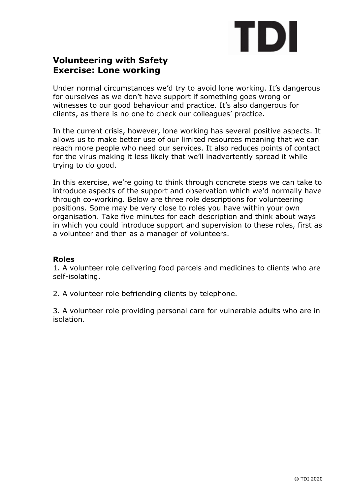# TDI

# **Volunteering with Safety Exercise: Lone working**

Under normal circumstances we'd try to avoid lone working. It's dangerous for ourselves as we don't have support if something goes wrong or witnesses to our good behaviour and practice. It's also dangerous for clients, as there is no one to check our colleagues' practice.

In the current crisis, however, lone working has several positive aspects. It allows us to make better use of our limited resources meaning that we can reach more people who need our services. It also reduces points of contact for the virus making it less likely that we'll inadvertently spread it while trying to do good.

In this exercise, we're going to think through concrete steps we can take to introduce aspects of the support and observation which we'd normally have through co-working. Below are three role descriptions for volunteering positions. Some may be very close to roles you have within your own organisation. Take five minutes for each description and think about ways in which you could introduce support and supervision to these roles, first as a volunteer and then as a manager of volunteers.

#### **Roles**

1. A volunteer role delivering food parcels and medicines to clients who are self-isolating.

2. A volunteer role befriending clients by telephone.

3. A volunteer role providing personal care for vulnerable adults who are in isolation.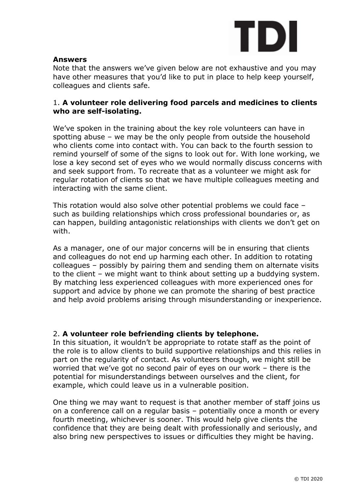

#### **Answers**

Note that the answers we've given below are not exhaustive and you may have other measures that you'd like to put in place to help keep yourself, colleagues and clients safe.

## 1. **A volunteer role delivering food parcels and medicines to clients who are self-isolating.**

We've spoken in the training about the key role volunteers can have in spotting abuse – we may be the only people from outside the household who clients come into contact with. You can back to the fourth session to remind yourself of some of the signs to look out for. With lone working, we lose a key second set of eyes who we would normally discuss concerns with and seek support from. To recreate that as a volunteer we might ask for regular rotation of clients so that we have multiple colleagues meeting and interacting with the same client.

This rotation would also solve other potential problems we could face – such as building relationships which cross professional boundaries or, as can happen, building antagonistic relationships with clients we don't get on with.

As a manager, one of our major concerns will be in ensuring that clients and colleagues do not end up harming each other. In addition to rotating colleagues – possibly by pairing them and sending them on alternate visits to the client – we might want to think about setting up a buddying system. By matching less experienced colleagues with more experienced ones for support and advice by phone we can promote the sharing of best practice and help avoid problems arising through misunderstanding or inexperience.

# 2. **A volunteer role befriending clients by telephone.**

In this situation, it wouldn't be appropriate to rotate staff as the point of the role is to allow clients to build supportive relationships and this relies in part on the regularity of contact. As volunteers though, we might still be worried that we've got no second pair of eyes on our work – there is the potential for misunderstandings between ourselves and the client, for example, which could leave us in a vulnerable position.

One thing we may want to request is that another member of staff joins us on a conference call on a regular basis – potentially once a month or every fourth meeting, whichever is sooner. This would help give clients the confidence that they are being dealt with professionally and seriously, and also bring new perspectives to issues or difficulties they might be having.